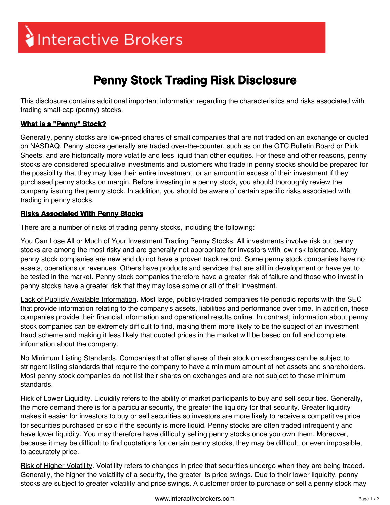## Interactive Brokers

## **Penny Stock Trading Risk Disclosure**

This disclosure contains additional important information regarding the characteristics and risks associated with trading small-cap (penny) stocks.

## **What is a "Penny" Stock?**

Generally, penny stocks are low-priced shares of small companies that are not traded on an exchange or quoted on NASDAQ. Penny stocks generally are traded over-the-counter, such as on the OTC Bulletin Board or Pink Sheets, and are historically more volatile and less liquid than other equities. For these and other reasons, penny stocks are considered speculative investments and customers who trade in penny stocks should be prepared for the possibility that they may lose their entire investment, or an amount in excess of their investment if they purchased penny stocks on margin. Before investing in a penny stock, you should thoroughly review the company issuing the penny stock. In addition, you should be aware of certain specific risks associated with trading in penny stocks.

## **Risks Associated With Penny Stocks**

There are a number of risks of trading penny stocks, including the following:

You Can Lose All or Much of Your Investment Trading Penny Stocks. All investments involve risk but penny stocks are among the most risky and are generally not appropriate for investors with low risk tolerance. Many penny stock companies are new and do not have a proven track record. Some penny stock companies have no assets, operations or revenues. Others have products and services that are still in development or have yet to be tested in the market. Penny stock companies therefore have a greater risk of failure and those who invest in penny stocks have a greater risk that they may lose some or all of their investment.

Lack of Publicly Available Information. Most large, publicly-traded companies file periodic reports with the SEC that provide information relating to the company's assets, liabilities and performance over time. In addition, these companies provide their financial information and operational results online. In contrast, information about penny stock companies can be extremely difficult to find, making them more likely to be the subject of an investment fraud scheme and making it less likely that quoted prices in the market will be based on full and complete information about the company.

No Minimum Listing Standards. Companies that offer shares of their stock on exchanges can be subject to stringent listing standards that require the company to have a minimum amount of net assets and shareholders. Most penny stock companies do not list their shares on exchanges and are not subject to these minimum standards.

Risk of Lower Liquidity. Liquidity refers to the ability of market participants to buy and sell securities. Generally, the more demand there is for a particular security, the greater the liquidity for that security. Greater liquidity makes it easier for investors to buy or sell securities so investors are more likely to receive a competitive price for securities purchased or sold if the security is more liquid. Penny stocks are often traded infrequently and have lower liquidity. You may therefore have difficulty selling penny stocks once you own them. Moreover, because it may be difficult to find quotations for certain penny stocks, they may be difficult, or even impossible, to accurately price.

Risk of Higher Volatility. Volatility refers to changes in price that securities undergo when they are being traded. Generally, the higher the volatility of a security, the greater its price swings. Due to their lower liquidity, penny stocks are subject to greater volatility and price swings. A customer order to purchase or sell a penny stock may